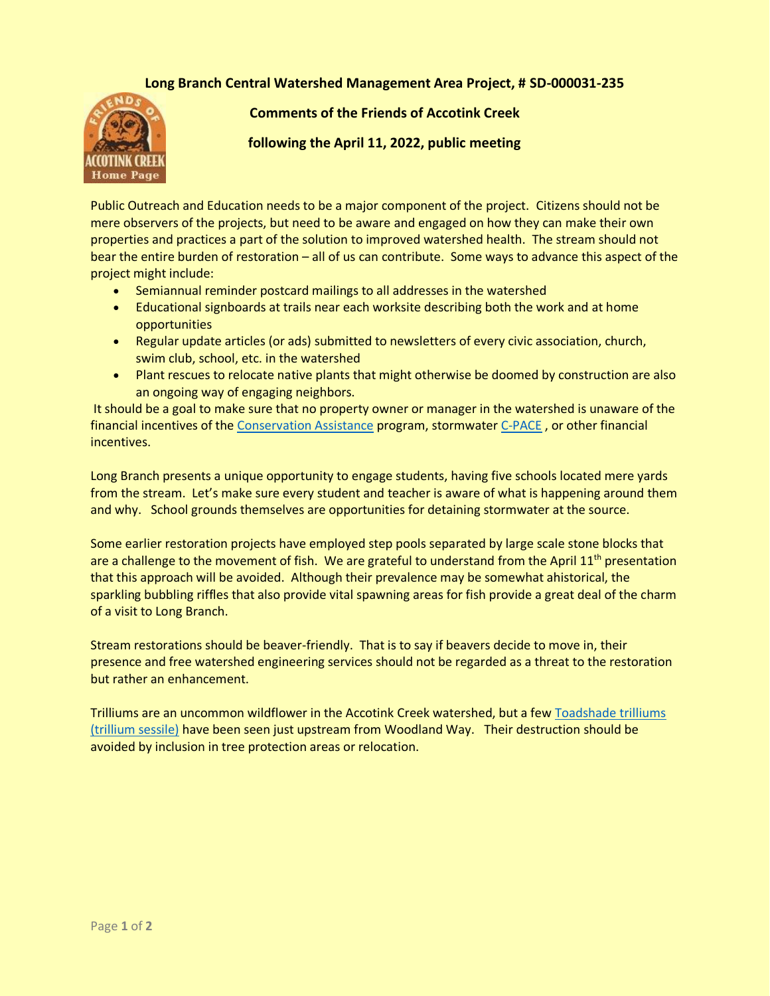## **[Lon](http://www.accotink.org)g Branch Central Watershed Management Area Project, # SD-000031-235**



**Comments of the Friends of Accotink Creek** 

**following the April 11, 2022, public meeting**

Public Outreach and Education needs to be a major component of the project. Citizens should not be mere observers of the projects, but need to be aware and engaged on how they can make their own properties and practices a part of the solution to improved watershed health. The stream should not bear the entire burden of restoration – all of us can contribute. Some ways to advance this aspect of the project might include:

- Semiannual reminder postcard mailings to all addresses in the watershed
- Educational signboards at trails near each worksite describing both the work and at home opportunities
- Regular update articles (or ads) submitted to newsletters of every civic association, church, swim club, school, etc. in the watershed
- Plant rescues to relocate native plants that might otherwise be doomed by construction are also an ongoing way of engaging neighbors.

It should be a goal to make sure that no property owner or manager in the watershed is unaware of the financial incentives of the [Conservation Assistance](https://www.fairfaxcounty.gov/soil-water-conservation/vcap) program, stormwate[r C-PACE](https://virginiapace.com/wp-content/uploads/2021/03/Factsheet-What-is-CPACE-prop-owners.pdf), or other financial incentives.

Long Branch presents a unique opportunity to engage students, having five schools located mere yards from the stream. Let's make sure every student and teacher is aware of what is happening around them and why. School grounds themselves are opportunities for detaining stormwater at the source.

Some earlier restoration projects have employed step pools separated by large scale stone blocks that are a challenge to the movement of fish. We are grateful to understand from the April  $11<sup>th</sup>$  presentation that this approach will be avoided. Although their prevalence may be somewhat ahistorical, the sparkling bubbling riffles that also provide vital spawning areas for fish provide a great deal of the charm of a visit to Long Branch.

Stream restorations should be beaver-friendly. That is to say if beavers decide to move in, their presence and free watershed engineering services should not be regarded as a threat to the restoration but rather an enhancement.

Trilliums are an uncommon wildflower in the Accotink Creek watershed, but a few [Toadshade trilliums](https://accotink.shutterfly.com/4056)  [\(trillium sessile\)](https://accotink.shutterfly.com/4056) have been seen just upstream from Woodland Way. Their destruction should be avoided by inclusion in tree protection areas or relocation.